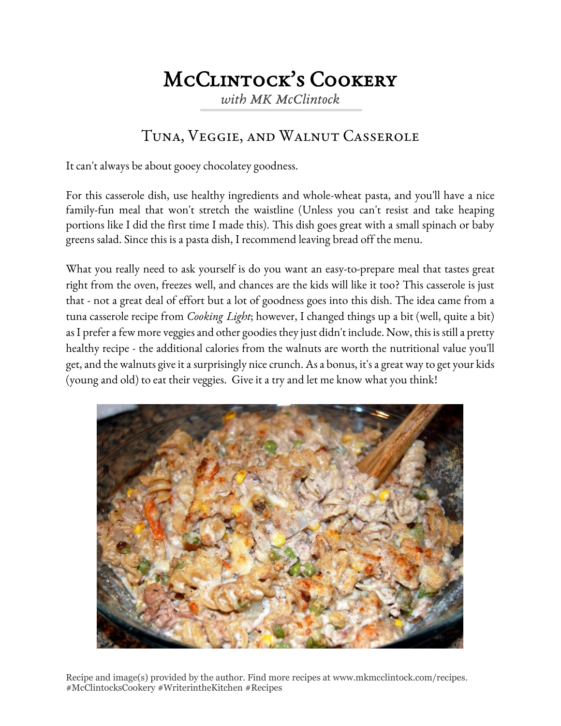## McClintock's Cookery

*with MK McClintock*

## Tuna, Veggie, and Walnut Casserole

It can't always be about gooey chocolatey goodness.

For this casserole dish, use healthy ingredients and whole-wheat pasta, and you'll have a nice family-fun meal that won't stretch the waistline (Unless you can't resist and take heaping portions like I did the first time I made this). This dish goes great with a small spinach or baby greens salad. Since this is a pasta dish, I recommend leaving bread off the menu.

What you really need to ask yourself is do you want an easy-to-prepare meal that tastes great right from the oven, freezes well, and chances are the kids will like it too? This casserole is just that - not a great deal of effort but a lot of goodness goes into this dish. The idea came from a tuna casserole recipe from *Cooking Light*; however, I changed things up a bit (well, quite a bit) as I prefer a few more veggies and other goodies they just didn't include. Now, this is still a pretty healthy recipe - the additional calories from the walnuts are worth the nutritional value you'll get, and the walnuts give it a surprisingly nice crunch. As a bonus, it's a great way to get your kids (young and old) to eat their veggies. Give it a try and let me know what you think!



Recipe and image(s) provided by the author. Find more recipes at www.mkmcclintock.com/recipes. #McClintocksCookery #WriterintheKitchen #Recipes